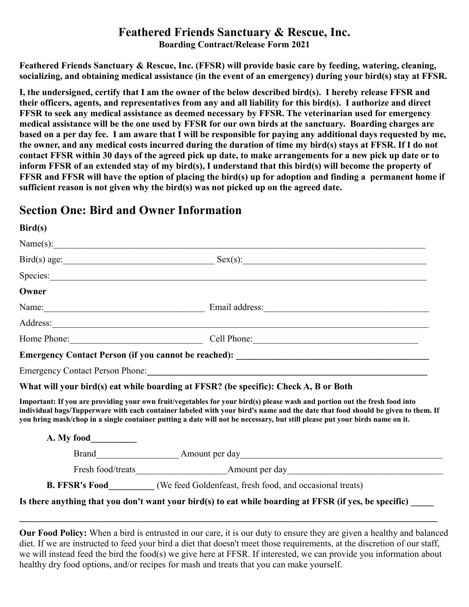## **Feathered Friends Sanctuary & Rescue, Inc.**

**Boarding Contract/Release Form 2021**

**Feathered Friends Sanctuary & Rescue, Inc. (FFSR) will provide basic care by feeding, watering, cleaning, socializing, and obtaining medical assistance (in the event of an emergency) during your bird(s) stay at FFSR.**

**I, the undersigned, certify that I am the owner of the below described bird(s). I hereby release FFSR and their officers, agents, and representatives from any and all liability for this bird(s). I authorize and direct FFSR to seek any medical assistance as deemed necessary by FFSR. The veterinarian used for emergency medical assistance will be the one used by FFSR for our own birds at the sanctuary. Boarding charges are based on a per day fee. I am aware that I will be responsible for paying any additional days requested by me, the owner, and any medical costs incurred during the duration of time my bird(s) stays at FFSR. If I do not contact FFSR within 30 days of the agreed pick up date, to make arrangements for a new pick up date or to inform FFSR of an extended stay of my bird(s), I understand that this bird(s) will become the property of FFSR and FFSR will have the option of placing the bird(s) up for adoption and finding a permanent home if sufficient reason is not given why the bird(s) was not picked up on the agreed date.** 

## **Section One: Bird and Owner Information**

**Bird(s)**

| <b>DILUSI</b> |                                                                                                                                                                                                                                                                                                                                                                                              |
|---------------|----------------------------------------------------------------------------------------------------------------------------------------------------------------------------------------------------------------------------------------------------------------------------------------------------------------------------------------------------------------------------------------------|
|               |                                                                                                                                                                                                                                                                                                                                                                                              |
|               | $Bird(s) age:$ $Sex(s):$                                                                                                                                                                                                                                                                                                                                                                     |
|               | Species: Species: Species: Species: Species: Species: Species: Species: Species: Species: Species: Species: Species: Species: Species: Species: Species: Species: Species: Species: Species: Species: Species: Species: Specie                                                                                                                                                               |
| Owner         |                                                                                                                                                                                                                                                                                                                                                                                              |
|               | Name: <u>Name:</u> Email address: Name: 2008.                                                                                                                                                                                                                                                                                                                                                |
|               | Address: <u>and a series of the series of the series of the series of the series of the series of the series of the series of the series of the series of the series of the series of the series of the series of the series of </u>                                                                                                                                                         |
|               | Home Phone: Cell Phone: Cell Phone:                                                                                                                                                                                                                                                                                                                                                          |
|               |                                                                                                                                                                                                                                                                                                                                                                                              |
|               | Emergency Contact Person Phone: 2008 and 2008 and 2008 and 2008 and 2008 and 2008 and 2008 and 2008 and 2008 and 2008 and 2008 and 2008 and 2008 and 2008 and 2008 and 2008 and 2008 and 2008 and 2008 and 2008 and 2008 and 2                                                                                                                                                               |
|               | What will your bird(s) eat while boarding at FFSR? (be specific): Check A, B or Both                                                                                                                                                                                                                                                                                                         |
|               | Important: If you are providing your own fruit/vegetables for your bird(s) please wash and portion out the fresh food into<br>individual bags/Tupperware with each container labeled with your bird's name and the date that food should be given to them. If<br>you bring mash/chop in a single container putting a date will not be necessary, but still please put your birds name on it. |
|               |                                                                                                                                                                                                                                                                                                                                                                                              |
|               |                                                                                                                                                                                                                                                                                                                                                                                              |
|               |                                                                                                                                                                                                                                                                                                                                                                                              |
|               | <b>B. FFSR's Food</b> (We feed Goldenfeast, fresh food, and occasional treats)                                                                                                                                                                                                                                                                                                               |
|               | Is there anything that you don't want your bird(s) to eat while boarding at FFSR (if yes, be specific)                                                                                                                                                                                                                                                                                       |

**Our Food Policy:** When a bird is entrusted in our care, it is our duty to ensure they are given a healthy and balanced diet. If we are instructed to feed your bird a diet that doesn't meet those requirements, at the discretion of our staff, we will instead feed the bird the food(s) we give here at FFSR. If interested, we can provide you information about healthy dry food options, and/or recipes for mash and treats that you can make yourself.